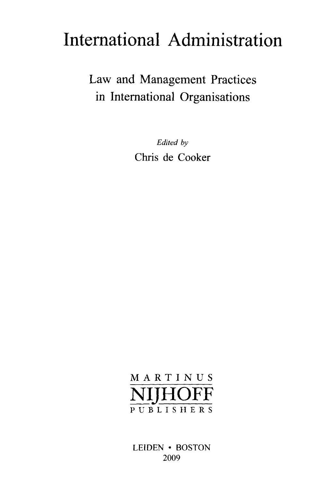# International Administration

Law and Management Practices in International Organisations

> *Edited by* Chris de Cooker

# **M A RTI N U S** NIJHOFF PUBLISHER S

LEIDEN • BOSTON 2009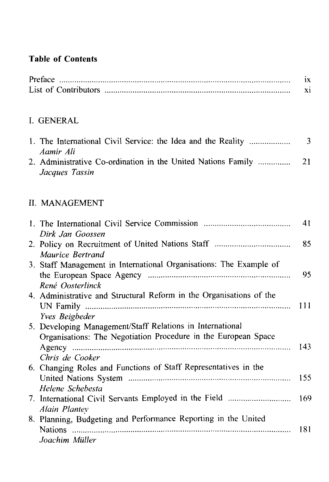#### **Table of Contents**

| Preface              |  |
|----------------------|--|
| List of Contributors |  |

### I. GENERAL

| 1. The International Civil Service: the Idea and the Reality<br>Aamir Ali                                                                      | 3          |
|------------------------------------------------------------------------------------------------------------------------------------------------|------------|
| 2. Administrative Co-ordination in the United Nations Family<br>Jacques Tassin                                                                 | 21         |
| <b>II. MANAGEMENT</b>                                                                                                                          |            |
| Dirk Jan Goossen                                                                                                                               | 41         |
| Maurice Bertrand                                                                                                                               | 85         |
| 3. Staff Management in International Organisations: The Example of<br>René Oosterlinck                                                         | 95         |
| 4. Administrative and Structural Reform in the Organisations of the<br><b>Yves Beigbeder</b>                                                   | 111        |
| 5. Developing Management/Staff Relations in International<br>Organisations: The Negotiation Procedure in the European Space<br>Chris de Cooker | 143        |
| 6. Changing Roles and Functions of Staff Representatives in the<br>Helene Schebesta                                                            | 155        |
|                                                                                                                                                | $1/\Omega$ |

7. International Civil Servants Employed in the Field 169 *Alain Plantey* 8. Planning, Budgeting and Performance Reporting in the United Nations 181

#### *Joachim Mutter*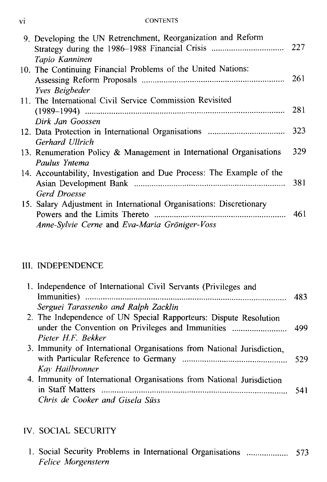#### vi CONTENTS

| 9. Developing the UN Retrenchment, Reorganization and Reform<br>Tapio Kanninen                                       | 227 |
|----------------------------------------------------------------------------------------------------------------------|-----|
| 10. The Continuing Financial Problems of the United Nations:<br><b>Yves</b> Beigbeder                                | 261 |
| 11. The International Civil Service Commission Revisited                                                             | 281 |
| Dirk Jan Goossen                                                                                                     | 323 |
| Gerhard Ullrich<br>13. Renumeration Policy & Management in International Organisations                               | 329 |
| Paulus Yntema<br>14. Accountability, Investigation and Due Process: The Example of the<br>Gerd Droesse               | 381 |
| 15. Salary Adjustment in International Organisations: Discretionary<br>Anne-Sylvie Cerne and Eva-Maria Gröniger-Voss |     |

#### III. INDEPENDENCE

| 1. Independence of International Civil Servants (Privileges and        |      |
|------------------------------------------------------------------------|------|
|                                                                        | -483 |
| Serguei Tarassenko and Ralph Zacklin                                   |      |
| 2. The Independence of UN Special Rapporteurs: Dispute Resolution      |      |
|                                                                        |      |
| Pieter H.F. Rekker                                                     |      |
| 3. Immunity of International Organisations from National Jurisdiction, |      |
|                                                                        |      |
| Kay Hailbronner                                                        |      |
| 4. Immunity of International Organisations from National Jurisdiction  |      |
|                                                                        | 541  |
| Chris de Cooker and Gisela Süss                                        |      |

# IV. SOCIAL SECURITY

|  |                    |  | 1. Social Security Problems in International Organisations  573 |  |
|--|--------------------|--|-----------------------------------------------------------------|--|
|  | Felice Morgenstern |  |                                                                 |  |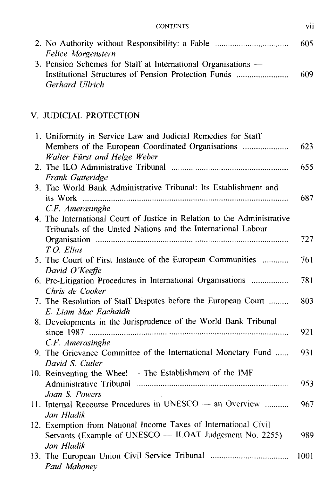| CONTENTS | VH |
|----------|----|

|                                                               | 605 |
|---------------------------------------------------------------|-----|
| Felice Morgenstern                                            |     |
| 3. Pension Schemes for Staff at International Organisations — |     |
| Institutional Structures of Pension Protection Funds          | 609 |
| Gerhard Ullrich                                               |     |

# V. JUDICIAL PROTECTION

| 1. Uniformity in Service Law and Judicial Remedies for Staff            |      |
|-------------------------------------------------------------------------|------|
| Members of the European Coordinated Organisations                       | 623  |
| Walter Fürst and Helge Weber                                            |      |
|                                                                         | 655  |
| Frank Gutteridge                                                        |      |
| 3. The World Bank Administrative Tribunal: Its Establishment and        |      |
|                                                                         | 687  |
| C.F. Amerasinghe                                                        |      |
| 4. The International Court of Justice in Relation to the Administrative |      |
| Tribunals of the United Nations and the International Labour            |      |
|                                                                         | 727  |
| T.O. Elias                                                              |      |
| 5. The Court of First Instance of the European Communities              | 761  |
| David O'Keeffe                                                          |      |
| 6. Pre-Litigation Procedures in International Organisations             | 781  |
| Chris de Cooker                                                         |      |
| 7. The Resolution of Staff Disputes before the European Court           | 803  |
| E. Liam Mac Eachaidh                                                    |      |
| 8. Developments in the Jurisprudence of the World Bank Tribunal         |      |
|                                                                         | 921  |
| C.F. Amerasinghe                                                        |      |
| 9. The Grievance Committee of the International Monetary Fund           | 931  |
| David S. Cutler                                                         |      |
| 10. Reinventing the Wheel — The Establishment of the IMF                |      |
|                                                                         | 953  |
| Joan S. Powers                                                          |      |
| 11. Internal Recourse Procedures in UNESCO - an Overview                | 967  |
| Jan Hladík                                                              |      |
| 12. Exemption from National Income Taxes of International Civil         |      |
| Servants (Example of UNESCO - ILOAT Judgement No. 2255)                 | 989  |
| Jan Hladik                                                              |      |
| 13. The European Union Civil Service Tribunal                           | 1001 |
| Paul Mahoney                                                            |      |